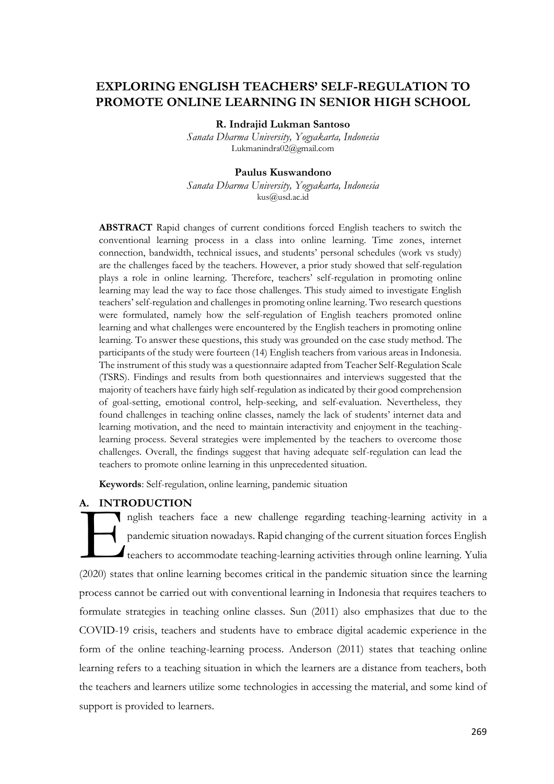# **EXPLORING ENGLISH TEACHERS' SELF-REGULATION TO PROMOTE ONLINE LEARNING IN SENIOR HIGH SCHOOL**

#### **R. Indrajid Lukman Santoso**

*Sanata Dharma University, Yogyakarta, Indonesia* [Lukmanindra02@gmail.com](mailto:Lukmanindra02@gmail.com)

### **Paulus Kuswandono**

*Sanata Dharma University, Yogyakarta, Indonesia* [kus@usd.ac.id](mailto:kus@usd.ac.id)

**ABSTRACT** Rapid changes of current conditions forced English teachers to switch the conventional learning process in a class into online learning. Time zones, internet connection, bandwidth, technical issues, and students' personal schedules (work vs study) are the challenges faced by the teachers. However, a prior study showed that self-regulation plays a role in online learning. Therefore, teachers' self-regulation in promoting online learning may lead the way to face those challenges. This study aimed to investigate English teachers' self-regulation and challenges in promoting online learning. Two research questions were formulated, namely how the self-regulation of English teachers promoted online learning and what challenges were encountered by the English teachers in promoting online learning. To answer these questions, this study was grounded on the case study method. The participants of the study were fourteen (14) English teachers from various areas in Indonesia. The instrument of this study was a questionnaire adapted from Teacher Self-Regulation Scale (TSRS). Findings and results from both questionnaires and interviews suggested that the majority of teachers have fairly high self-regulation as indicated by their good comprehension of goal-setting, emotional control, help-seeking, and self-evaluation. Nevertheless, they found challenges in teaching online classes, namely the lack of students' internet data and learning motivation, and the need to maintain interactivity and enjoyment in the teachinglearning process. Several strategies were implemented by the teachers to overcome those challenges. Overall, the findings suggest that having adequate self-regulation can lead the teachers to promote online learning in this unprecedented situation.

**Keywords**: Self-regulation, online learning, pandemic situation

## **A. INTRODUCTION**

nglish teachers face a new challenge regarding teaching-learning activity in a pandemic situation nowadays. Rapid changing of the current situation forces English teachers to accommodate teaching-learning activities through online learning. Yulia (2020) states that online learning becomes critical in the pandemic situation since the learning process cannot be carried out with conventional learning in Indonesia that requires teachers to formulate strategies in teaching online classes. Sun (2011) also emphasizes that due to the COVID-19 crisis, teachers and students have to embrace digital academic experience in the form of the online teaching-learning process. Anderson (2011) states that teaching online learning refers to a teaching situation in which the learners are a distance from teachers, both the teachers and learners utilize some technologies in accessing the material, and some kind of support is provided to learners. A. INTR<br> **Example 1**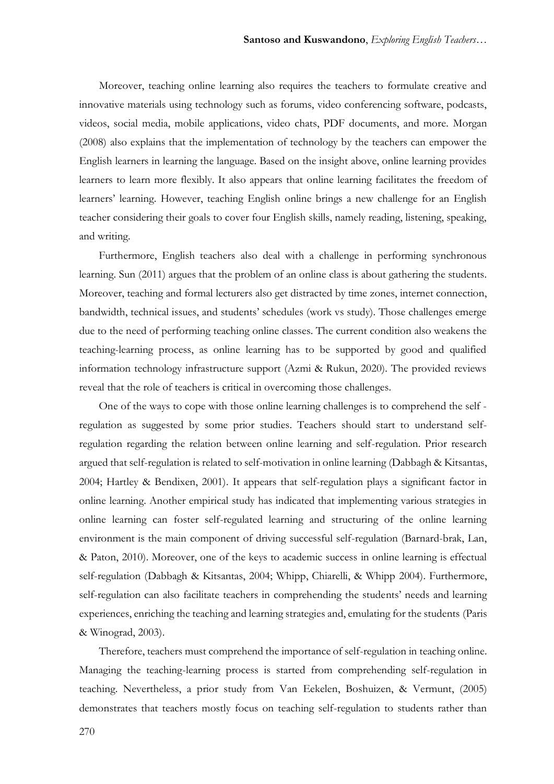Moreover, teaching online learning also requires the teachers to formulate creative and innovative materials using technology such as forums, video conferencing software, podcasts, videos, social media, mobile applications, video chats, PDF documents, and more. Morgan (2008) also explains that the implementation of technology by the teachers can empower the English learners in learning the language. Based on the insight above, online learning provides learners to learn more flexibly. It also appears that online learning facilitates the freedom of learners' learning. However, teaching English online brings a new challenge for an English teacher considering their goals to cover four English skills, namely reading, listening, speaking, and writing.

Furthermore, English teachers also deal with a challenge in performing synchronous learning. Sun (2011) argues that the problem of an online class is about gathering the students. Moreover, teaching and formal lecturers also get distracted by time zones, internet connection, bandwidth, technical issues, and students' schedules (work vs study). Those challenges emerge due to the need of performing teaching online classes. The current condition also weakens the teaching-learning process, as online learning has to be supported by good and qualified information technology infrastructure support (Azmi & Rukun, 2020). The provided reviews reveal that the role of teachers is critical in overcoming those challenges.

One of the ways to cope with those online learning challenges is to comprehend the self regulation as suggested by some prior studies. Teachers should start to understand selfregulation regarding the relation between online learning and self-regulation. Prior research argued that self-regulation is related to self-motivation in online learning (Dabbagh & Kitsantas, 2004; Hartley & Bendixen, 2001). It appears that self-regulation plays a significant factor in online learning. Another empirical study has indicated that implementing various strategies in online learning can foster self-regulated learning and structuring of the online learning environment is the main component of driving successful self-regulation (Barnard-brak, Lan, & Paton, 2010). Moreover, one of the keys to academic success in online learning is effectual self-regulation (Dabbagh & Kitsantas, 2004; Whipp, Chiarelli, & Whipp 2004). Furthermore, self-regulation can also facilitate teachers in comprehending the students' needs and learning experiences, enriching the teaching and learning strategies and, emulating for the students (Paris & Winograd, 2003).

Therefore, teachers must comprehend the importance of self-regulation in teaching online. Managing the teaching-learning process is started from comprehending self-regulation in teaching. Nevertheless, a prior study from Van Eekelen, Boshuizen, & Vermunt, (2005) demonstrates that teachers mostly focus on teaching self-regulation to students rather than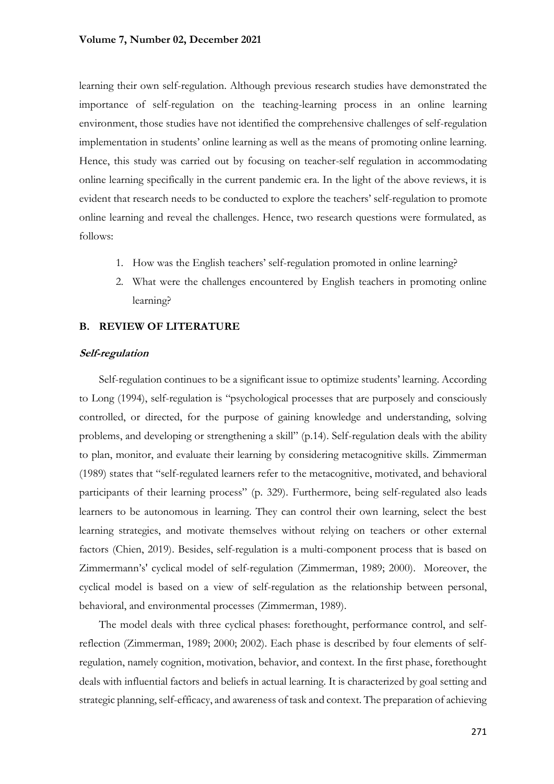learning their own self-regulation. Although previous research studies have demonstrated the importance of self-regulation on the teaching-learning process in an online learning environment, those studies have not identified the comprehensive challenges of self-regulation implementation in students' online learning as well as the means of promoting online learning. Hence, this study was carried out by focusing on teacher-self regulation in accommodating online learning specifically in the current pandemic era. In the light of the above reviews, it is evident that research needs to be conducted to explore the teachers' self-regulation to promote online learning and reveal the challenges. Hence, two research questions were formulated, as follows:

- 1. How was the English teachers' self-regulation promoted in online learning?
- 2. What were the challenges encountered by English teachers in promoting online learning?

## **B. REVIEW OF LITERATURE**

## **Self-regulation**

Self-regulation continues to be a significant issue to optimize students' learning. According to Long (1994), self-regulation is "psychological processes that are purposely and consciously controlled, or directed, for the purpose of gaining knowledge and understanding, solving problems, and developing or strengthening a skill" (p.14). Self-regulation deals with the ability to plan, monitor, and evaluate their learning by considering metacognitive skills. Zimmerman (1989) states that "self-regulated learners refer to the metacognitive, motivated, and behavioral participants of their learning process" (p. 329). Furthermore, being self-regulated also leads learners to be autonomous in learning. They can control their own learning, select the best learning strategies, and motivate themselves without relying on teachers or other external factors (Chien, 2019). Besides, self-regulation is a multi-component process that is based on Zimmermann's' cyclical model of self-regulation (Zimmerman, 1989; 2000). Moreover, the cyclical model is based on a view of self-regulation as the relationship between personal, behavioral, and environmental processes (Zimmerman, 1989).

The model deals with three cyclical phases: forethought, performance control, and selfreflection (Zimmerman, 1989; 2000; 2002). Each phase is described by four elements of selfregulation, namely cognition, motivation, behavior, and context. In the first phase, forethought deals with influential factors and beliefs in actual learning. It is characterized by goal setting and strategic planning, self-efficacy, and awareness of task and context. The preparation of achieving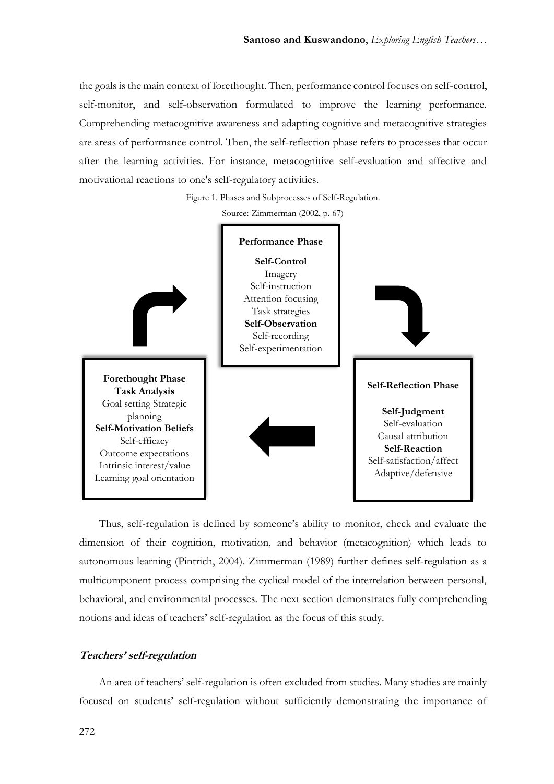the goals is the main context of forethought. Then, performance control focuses on self-control, self-monitor, and self-observation formulated to improve the learning performance. Comprehending metacognitive awareness and adapting cognitive and metacognitive strategies are areas of performance control. Then, the self-reflection phase refers to processes that occur after the learning activities. For instance, metacognitive self-evaluation and affective and motivational reactions to one's self-regulatory activities.

Figure 1. Phases and Subprocesses of Self-Regulation.

Source: Zimmerman (2002, p. 67)



Thus, self-regulation is defined by someone's ability to monitor, check and evaluate the dimension of their cognition, motivation, and behavior (metacognition) which leads to autonomous learning (Pintrich, 2004). Zimmerman (1989) further defines self-regulation as a multicomponent process comprising the cyclical model of the interrelation between personal, behavioral, and environmental processes. The next section demonstrates fully comprehending notions and ideas of teachers' self-regulation as the focus of this study.

## **Teachers' self-regulation**

An area of teachers' self-regulation is often excluded from studies. Many studies are mainly focused on students' self-regulation without sufficiently demonstrating the importance of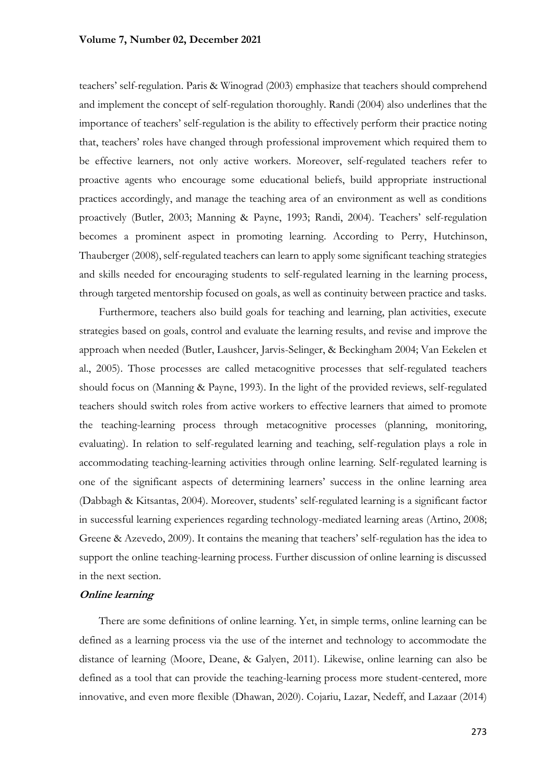teachers' self-regulation. Paris & Winograd (2003) emphasize that teachers should comprehend and implement the concept of self-regulation thoroughly. Randi (2004) also underlines that the importance of teachers' self-regulation is the ability to effectively perform their practice noting that, teachers' roles have changed through professional improvement which required them to be effective learners, not only active workers. Moreover, self-regulated teachers refer to proactive agents who encourage some educational beliefs, build appropriate instructional practices accordingly, and manage the teaching area of an environment as well as conditions proactively (Butler, 2003; Manning & Payne, 1993; Randi, 2004). Teachers' self-regulation becomes a prominent aspect in promoting learning. According to Perry, Hutchinson, Thauberger (2008), self-regulated teachers can learn to apply some significant teaching strategies and skills needed for encouraging students to self-regulated learning in the learning process, through targeted mentorship focused on goals, as well as continuity between practice and tasks.

Furthermore, teachers also build goals for teaching and learning, plan activities, execute strategies based on goals, control and evaluate the learning results, and revise and improve the approach when needed (Butler, Laushcer, Jarvis-Selinger, & Beckingham 2004; Van Eekelen et al., 2005). Those processes are called metacognitive processes that self-regulated teachers should focus on (Manning & Payne, 1993). In the light of the provided reviews, self-regulated teachers should switch roles from active workers to effective learners that aimed to promote the teaching-learning process through metacognitive processes (planning, monitoring, evaluating). In relation to self-regulated learning and teaching, self-regulation plays a role in accommodating teaching-learning activities through online learning. Self-regulated learning is one of the significant aspects of determining learners' success in the online learning area (Dabbagh & Kitsantas, 2004). Moreover, students' self-regulated learning is a significant factor in successful learning experiences regarding technology-mediated learning areas (Artino, 2008; Greene & Azevedo, 2009). It contains the meaning that teachers' self-regulation has the idea to support the online teaching-learning process. Further discussion of online learning is discussed in the next section.

## **Online learning**

There are some definitions of online learning. Yet, in simple terms, online learning can be defined as a learning process via the use of the internet and technology to accommodate the distance of learning (Moore, Deane, & Galyen, 2011). Likewise, online learning can also be defined as a tool that can provide the teaching-learning process more student-centered, more innovative, and even more flexible (Dhawan, 2020). Cojariu, Lazar, Nedeff, and Lazaar (2014)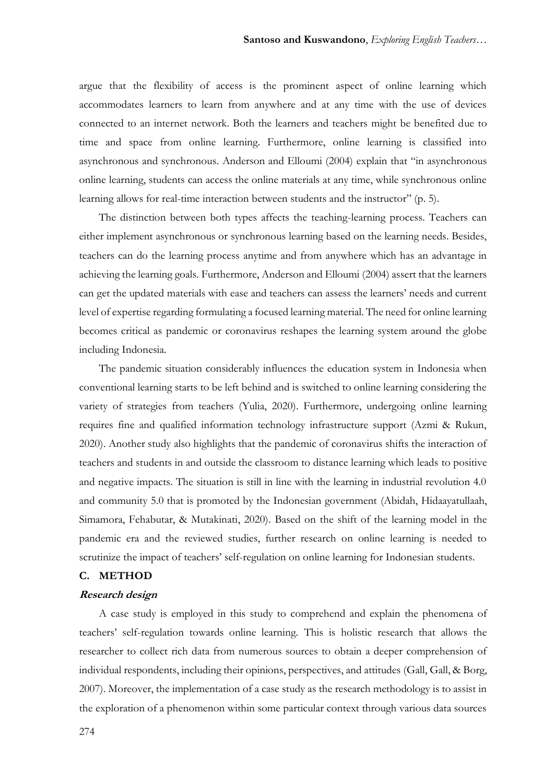argue that the flexibility of access is the prominent aspect of online learning which accommodates learners to learn from anywhere and at any time with the use of devices connected to an internet network. Both the learners and teachers might be benefited due to time and space from online learning. Furthermore, online learning is classified into asynchronous and synchronous. Anderson and Elloumi (2004) explain that "in asynchronous online learning, students can access the online materials at any time, while synchronous online learning allows for real-time interaction between students and the instructor" (p. 5).

The distinction between both types affects the teaching-learning process. Teachers can either implement asynchronous or synchronous learning based on the learning needs. Besides, teachers can do the learning process anytime and from anywhere which has an advantage in achieving the learning goals. Furthermore, Anderson and Elloumi (2004) assert that the learners can get the updated materials with ease and teachers can assess the learners' needs and current level of expertise regarding formulating a focused learning material. The need for online learning becomes critical as pandemic or coronavirus reshapes the learning system around the globe including Indonesia.

The pandemic situation considerably influences the education system in Indonesia when conventional learning starts to be left behind and is switched to online learning considering the variety of strategies from teachers (Yulia, 2020). Furthermore, undergoing online learning requires fine and qualified information technology infrastructure support (Azmi & Rukun, 2020). Another study also highlights that the pandemic of coronavirus shifts the interaction of teachers and students in and outside the classroom to distance learning which leads to positive and negative impacts. The situation is still in line with the learning in industrial revolution 4.0 and community 5.0 that is promoted by the Indonesian government (Abidah, Hidaayatullaah, Simamora, Fehabutar, & Mutakinati, 2020). Based on the shift of the learning model in the pandemic era and the reviewed studies, further research on online learning is needed to scrutinize the impact of teachers' self-regulation on online learning for Indonesian students.

## **C. METHOD**

#### **Research design**

A case study is employed in this study to comprehend and explain the phenomena of teachers' self-regulation towards online learning. This is holistic research that allows the researcher to collect rich data from numerous sources to obtain a deeper comprehension of individual respondents, including their opinions, perspectives, and attitudes (Gall, Gall, & Borg, 2007). Moreover, the implementation of a case study as the research methodology is to assist in the exploration of a phenomenon within some particular context through various data sources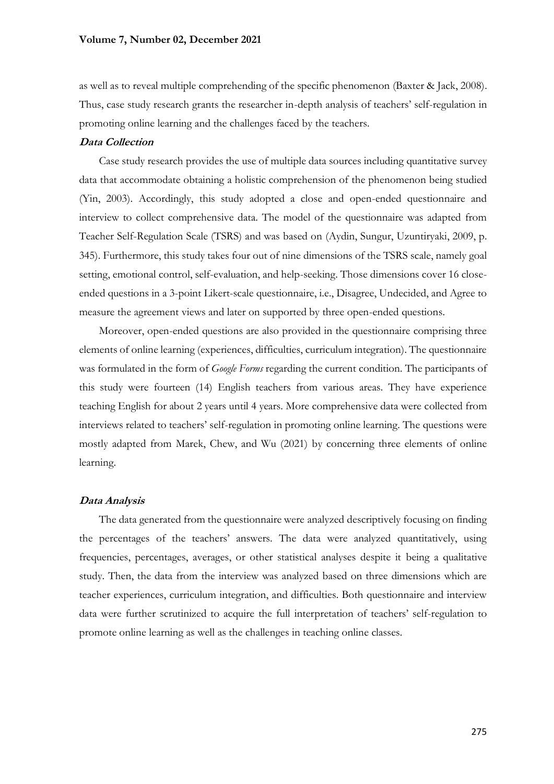as well as to reveal multiple comprehending of the specific phenomenon (Baxter & Jack, 2008). Thus, case study research grants the researcher in-depth analysis of teachers' self-regulation in promoting online learning and the challenges faced by the teachers.

## **Data Collection**

Case study research provides the use of multiple data sources including quantitative survey data that accommodate obtaining a holistic comprehension of the phenomenon being studied (Yin, 2003). Accordingly, this study adopted a close and open-ended questionnaire and interview to collect comprehensive data. The model of the questionnaire was adapted from Teacher Self-Regulation Scale (TSRS) and was based on (Aydin, Sungur, Uzuntiryaki, 2009, p. 345). Furthermore, this study takes four out of nine dimensions of the TSRS scale, namely goal setting, emotional control, self-evaluation, and help-seeking. Those dimensions cover 16 closeended questions in a 3-point Likert-scale questionnaire, i.e., Disagree, Undecided, and Agree to measure the agreement views and later on supported by three open-ended questions.

Moreover, open-ended questions are also provided in the questionnaire comprising three elements of online learning (experiences, difficulties, curriculum integration). The questionnaire was formulated in the form of *Google Forms* regarding the current condition. The participants of this study were fourteen (14) English teachers from various areas. They have experience teaching English for about 2 years until 4 years. More comprehensive data were collected from interviews related to teachers' self-regulation in promoting online learning. The questions were mostly adapted from Marek, Chew, and Wu (2021) by concerning three elements of online learning.

#### **Data Analysis**

The data generated from the questionnaire were analyzed descriptively focusing on finding the percentages of the teachers' answers. The data were analyzed quantitatively, using frequencies, percentages, averages, or other statistical analyses despite it being a qualitative study. Then, the data from the interview was analyzed based on three dimensions which are teacher experiences, curriculum integration, and difficulties. Both questionnaire and interview data were further scrutinized to acquire the full interpretation of teachers' self-regulation to promote online learning as well as the challenges in teaching online classes.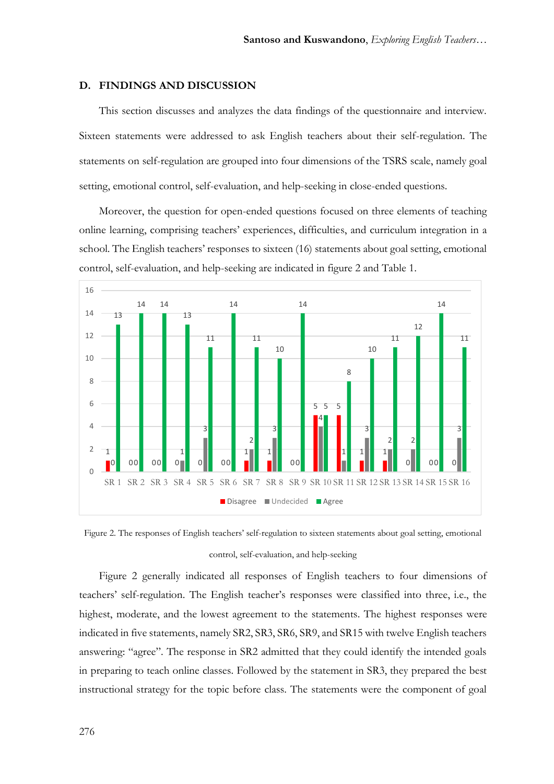#### **D. FINDINGS AND DISCUSSION**

This section discusses and analyzes the data findings of the questionnaire and interview. Sixteen statements were addressed to ask English teachers about their self-regulation. The statements on self-regulation are grouped into four dimensions of the TSRS scale, namely goal setting, emotional control, self-evaluation, and help-seeking in close-ended questions.

Moreover, the question for open-ended questions focused on three elements of teaching online learning, comprising teachers' experiences, difficulties, and curriculum integration in a school. The English teachers' responses to sixteen (16) statements about goal setting, emotional control, self-evaluation, and help-seeking are indicated in figure 2 and Table 1.



Figure 2. The responses of English teachers' self-regulation to sixteen statements about goal setting, emotional control, self-evaluation, and help-seeking

Figure 2 generally indicated all responses of English teachers to four dimensions of teachers' self-regulation. The English teacher's responses were classified into three, i.e., the highest, moderate, and the lowest agreement to the statements. The highest responses were indicated in five statements, namely SR2, SR3, SR6, SR9, and SR15 with twelve English teachers answering: "agree". The response in SR2 admitted that they could identify the intended goals in preparing to teach online classes. Followed by the statement in SR3, they prepared the best instructional strategy for the topic before class. The statements were the component of goal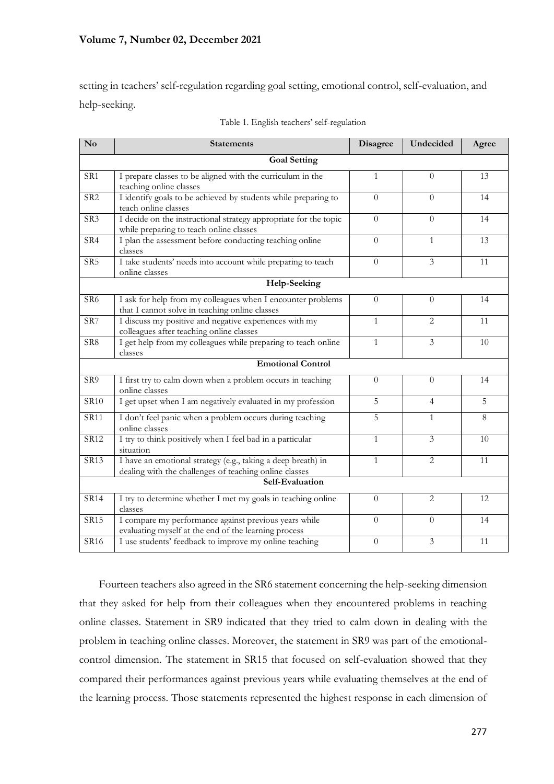setting in teachers' self-regulation regarding goal setting, emotional control, self-evaluation, and help-seeking.

| $\mathbf{N}\mathbf{o}$  | <b>Statements</b>                                                                                                      | Disagree       | Undecided               | Agree |
|-------------------------|------------------------------------------------------------------------------------------------------------------------|----------------|-------------------------|-------|
|                         | <b>Goal Setting</b>                                                                                                    |                |                         |       |
| SR1                     | I prepare classes to be aligned with the curriculum in the<br>teaching online classes                                  | $\mathbf{1}$   | $\Omega$                | 13    |
| $\overline{\text{SR2}}$ | I identify goals to be achieved by students while preparing to<br>teach online classes                                 | $\theta$       | $\Omega$                | 14    |
| SR <sub>3</sub>         | I decide on the instructional strategy appropriate for the topic<br>while preparing to teach online classes            | $\Omega$       | $\Omega$                | 14    |
| SR4                     | I plan the assessment before conducting teaching online<br>classes                                                     | $\Omega$       | $\mathbf{1}$            | 13    |
| SR <sub>5</sub>         | I take students' needs into account while preparing to teach<br>online classes                                         | $\theta$       | $\overline{3}$          | 11    |
|                         | Help-Seeking                                                                                                           |                |                         |       |
| SR <sub>6</sub>         | I ask for help from my colleagues when I encounter problems<br>that I cannot solve in teaching online classes          | $\overline{0}$ | $\Omega$                | 14    |
| $\overline{\text{SR}7}$ | I discuss my positive and negative experiences with my<br>colleagues after teaching online classes                     | $\mathbf{1}$   | $\overline{2}$          | 11    |
| SR8                     | I get help from my colleagues while preparing to teach online<br>classes                                               | $\mathbf{1}$   | 3                       | 10    |
|                         | <b>Emotional Control</b>                                                                                               |                |                         |       |
| SR9                     | I first try to calm down when a problem occurs in teaching<br>online classes                                           | $\Omega$       | $\Omega$                | 14    |
| <b>SR10</b>             | I get upset when I am negatively evaluated in my profession                                                            | 5              | $\overline{4}$          | 5     |
| <b>SR11</b>             | I don't feel panic when a problem occurs during teaching<br>online classes                                             | 5              | $\mathbf{1}$            | 8     |
| <b>SR12</b>             | I try to think positively when I feel bad in a particular<br>situation                                                 | $\mathbf{1}$   | $\overline{\mathbf{3}}$ | 10    |
| <b>SR13</b>             | I have an emotional strategy (e.g., taking a deep breath) in<br>dealing with the challenges of teaching online classes | $\mathbf{1}$   | $\overline{2}$          | 11    |
|                         | Self-Evaluation                                                                                                        |                |                         |       |
| <b>SR14</b>             | I try to determine whether I met my goals in teaching online<br>classes                                                | $\overline{0}$ | $\overline{2}$          | 12    |
| <b>SR15</b>             | I compare my performance against previous years while<br>evaluating myself at the end of the learning process          | $\overline{0}$ | $\Omega$                | 14    |
| SR16                    | I use students' feedback to improve my online teaching                                                                 | $\overline{0}$ | $\overline{3}$          | 11    |

Fourteen teachers also agreed in the SR6 statement concerning the help-seeking dimension that they asked for help from their colleagues when they encountered problems in teaching online classes. Statement in SR9 indicated that they tried to calm down in dealing with the problem in teaching online classes. Moreover, the statement in SR9 was part of the emotionalcontrol dimension. The statement in SR15 that focused on self-evaluation showed that they compared their performances against previous years while evaluating themselves at the end of the learning process. Those statements represented the highest response in each dimension of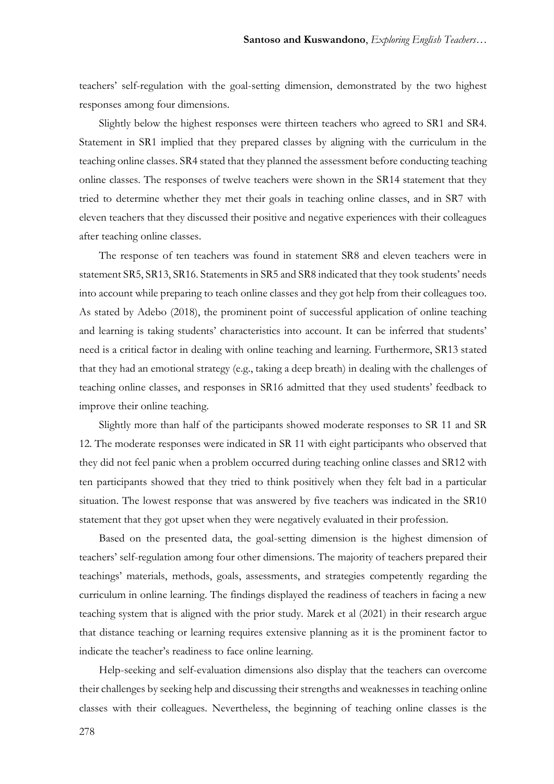teachers' self-regulation with the goal-setting dimension, demonstrated by the two highest responses among four dimensions.

Slightly below the highest responses were thirteen teachers who agreed to SR1 and SR4. Statement in SR1 implied that they prepared classes by aligning with the curriculum in the teaching online classes. SR4 stated that they planned the assessment before conducting teaching online classes. The responses of twelve teachers were shown in the SR14 statement that they tried to determine whether they met their goals in teaching online classes, and in SR7 with eleven teachers that they discussed their positive and negative experiences with their colleagues after teaching online classes.

The response of ten teachers was found in statement SR8 and eleven teachers were in statement SR5, SR13, SR16. Statements in SR5 and SR8 indicated that they took students' needs into account while preparing to teach online classes and they got help from their colleagues too. As stated by Adebo (2018), the prominent point of successful application of online teaching and learning is taking students' characteristics into account. It can be inferred that students' need is a critical factor in dealing with online teaching and learning. Furthermore, SR13 stated that they had an emotional strategy (e.g., taking a deep breath) in dealing with the challenges of teaching online classes, and responses in SR16 admitted that they used students' feedback to improve their online teaching.

Slightly more than half of the participants showed moderate responses to SR 11 and SR 12. The moderate responses were indicated in SR 11 with eight participants who observed that they did not feel panic when a problem occurred during teaching online classes and SR12 with ten participants showed that they tried to think positively when they felt bad in a particular situation. The lowest response that was answered by five teachers was indicated in the SR10 statement that they got upset when they were negatively evaluated in their profession.

Based on the presented data, the goal-setting dimension is the highest dimension of teachers' self-regulation among four other dimensions. The majority of teachers prepared their teachings' materials, methods, goals, assessments, and strategies competently regarding the curriculum in online learning. The findings displayed the readiness of teachers in facing a new teaching system that is aligned with the prior study. Marek et al (2021) in their research argue that distance teaching or learning requires extensive planning as it is the prominent factor to indicate the teacher's readiness to face online learning.

Help-seeking and self-evaluation dimensions also display that the teachers can overcome their challenges by seeking help and discussing their strengths and weaknesses in teaching online classes with their colleagues. Nevertheless, the beginning of teaching online classes is the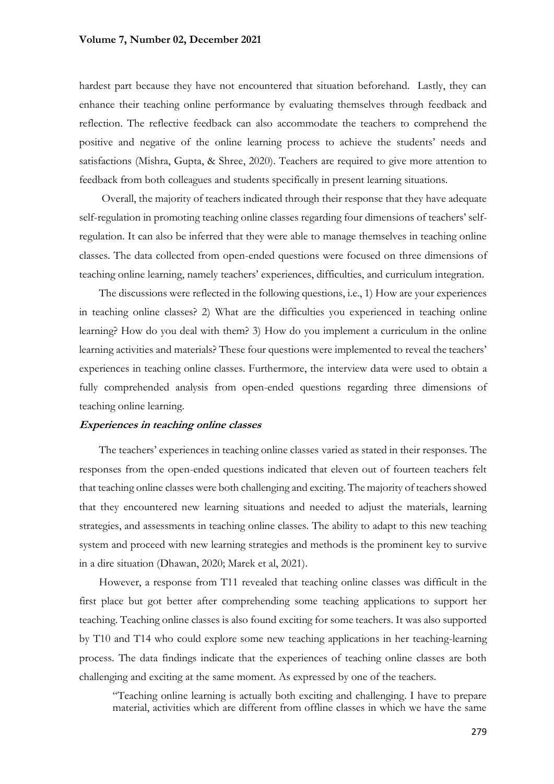hardest part because they have not encountered that situation beforehand. Lastly, they can enhance their teaching online performance by evaluating themselves through feedback and reflection. The reflective feedback can also accommodate the teachers to comprehend the positive and negative of the online learning process to achieve the students' needs and satisfactions (Mishra, Gupta, & Shree, 2020). Teachers are required to give more attention to feedback from both colleagues and students specifically in present learning situations.

Overall, the majority of teachers indicated through their response that they have adequate self-regulation in promoting teaching online classes regarding four dimensions of teachers' selfregulation. It can also be inferred that they were able to manage themselves in teaching online classes. The data collected from open-ended questions were focused on three dimensions of teaching online learning, namely teachers' experiences, difficulties, and curriculum integration.

The discussions were reflected in the following questions, i.e., 1) How are your experiences in teaching online classes? 2) What are the difficulties you experienced in teaching online learning? How do you deal with them? 3) How do you implement a curriculum in the online learning activities and materials? These four questions were implemented to reveal the teachers' experiences in teaching online classes. Furthermore, the interview data were used to obtain a fully comprehended analysis from open-ended questions regarding three dimensions of teaching online learning.

### **Experiences in teaching online classes**

The teachers' experiences in teaching online classes varied as stated in their responses. The responses from the open-ended questions indicated that eleven out of fourteen teachers felt that teaching online classes were both challenging and exciting. The majority of teachers showed that they encountered new learning situations and needed to adjust the materials, learning strategies, and assessments in teaching online classes. The ability to adapt to this new teaching system and proceed with new learning strategies and methods is the prominent key to survive in a dire situation (Dhawan, 2020; Marek et al, 2021).

However, a response from T11 revealed that teaching online classes was difficult in the first place but got better after comprehending some teaching applications to support her teaching. Teaching online classes is also found exciting for some teachers. It was also supported by T10 and T14 who could explore some new teaching applications in her teaching-learning process. The data findings indicate that the experiences of teaching online classes are both challenging and exciting at the same moment. As expressed by one of the teachers.

"Teaching online learning is actually both exciting and challenging. I have to prepare material, activities which are different from offline classes in which we have the same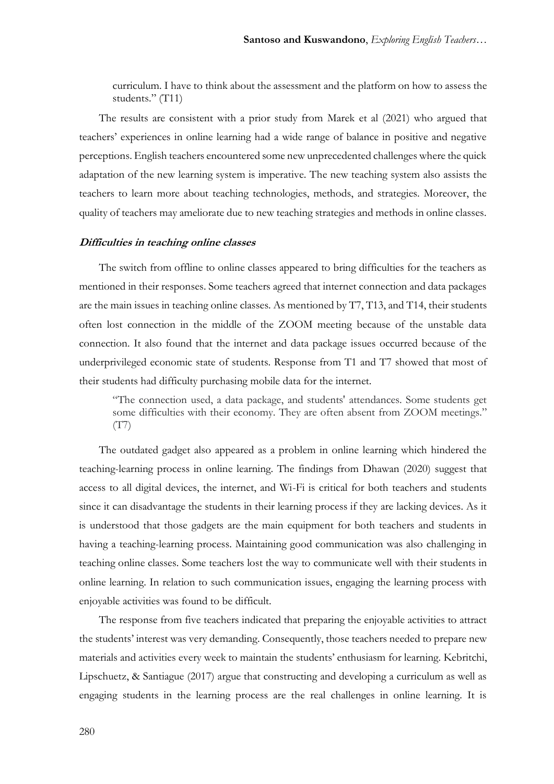curriculum. I have to think about the assessment and the platform on how to assess the students." (T11)

The results are consistent with a prior study from Marek et al (2021) who argued that teachers' experiences in online learning had a wide range of balance in positive and negative perceptions. English teachers encountered some new unprecedented challenges where the quick adaptation of the new learning system is imperative. The new teaching system also assists the teachers to learn more about teaching technologies, methods, and strategies. Moreover, the quality of teachers may ameliorate due to new teaching strategies and methods in online classes.

#### **Difficulties in teaching online classes**

The switch from offline to online classes appeared to bring difficulties for the teachers as mentioned in their responses. Some teachers agreed that internet connection and data packages are the main issues in teaching online classes. As mentioned by T7, T13, and T14, their students often lost connection in the middle of the ZOOM meeting because of the unstable data connection. It also found that the internet and data package issues occurred because of the underprivileged economic state of students. Response from T1 and T7 showed that most of their students had difficulty purchasing mobile data for the internet.

"The connection used, a data package, and students' attendances. Some students get some difficulties with their economy. They are often absent from ZOOM meetings." (T7)

The outdated gadget also appeared as a problem in online learning which hindered the teaching-learning process in online learning. The findings from Dhawan (2020) suggest that access to all digital devices, the internet, and Wi-Fi is critical for both teachers and students since it can disadvantage the students in their learning process if they are lacking devices. As it is understood that those gadgets are the main equipment for both teachers and students in having a teaching-learning process. Maintaining good communication was also challenging in teaching online classes. Some teachers lost the way to communicate well with their students in online learning. In relation to such communication issues, engaging the learning process with enjoyable activities was found to be difficult.

The response from five teachers indicated that preparing the enjoyable activities to attract the students' interest was very demanding. Consequently, those teachers needed to prepare new materials and activities every week to maintain the students' enthusiasm for learning. Kebritchi, Lipschuetz, & Santiague (2017) argue that constructing and developing a curriculum as well as engaging students in the learning process are the real challenges in online learning. It is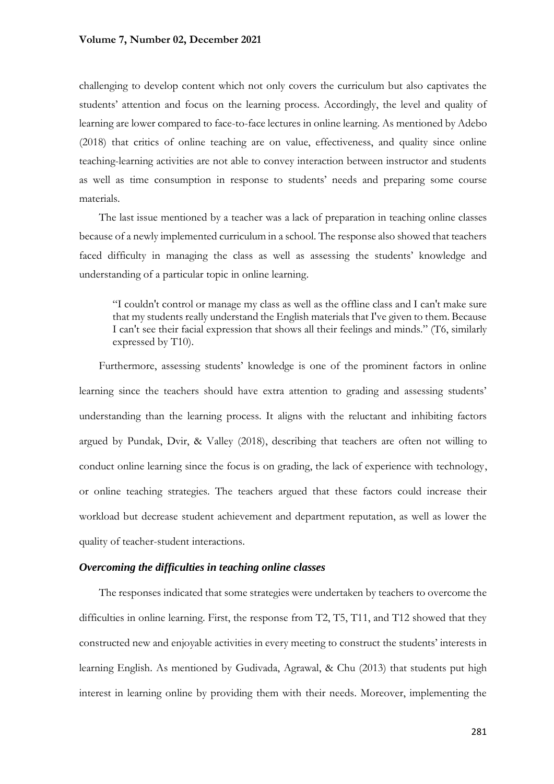#### **Volume 7, Number 02, December 2021**

challenging to develop content which not only covers the curriculum but also captivates the students' attention and focus on the learning process. Accordingly, the level and quality of learning are lower compared to face-to-face lectures in online learning. As mentioned by Adebo (2018) that critics of online teaching are on value, effectiveness, and quality since online teaching-learning activities are not able to convey interaction between instructor and students as well as time consumption in response to students' needs and preparing some course materials.

The last issue mentioned by a teacher was a lack of preparation in teaching online classes because of a newly implemented curriculum in a school. The response also showed that teachers faced difficulty in managing the class as well as assessing the students' knowledge and understanding of a particular topic in online learning.

"I couldn't control or manage my class as well as the offline class and I can't make sure that my students really understand the English materials that I've given to them. Because I can't see their facial expression that shows all their feelings and minds." (T6, similarly expressed by T10).

Furthermore, assessing students' knowledge is one of the prominent factors in online learning since the teachers should have extra attention to grading and assessing students' understanding than the learning process. It aligns with the reluctant and inhibiting factors argued by Pundak, Dvir, & Valley (2018), describing that teachers are often not willing to conduct online learning since the focus is on grading, the lack of experience with technology, or online teaching strategies. The teachers argued that these factors could increase their workload but decrease student achievement and department reputation, as well as lower the quality of teacher-student interactions.

#### *Overcoming the difficulties in teaching online classes*

The responses indicated that some strategies were undertaken by teachers to overcome the difficulties in online learning. First, the response from T2, T5, T11, and T12 showed that they constructed new and enjoyable activities in every meeting to construct the students' interests in learning English. As mentioned by Gudivada, Agrawal, & Chu (2013) that students put high interest in learning online by providing them with their needs. Moreover, implementing the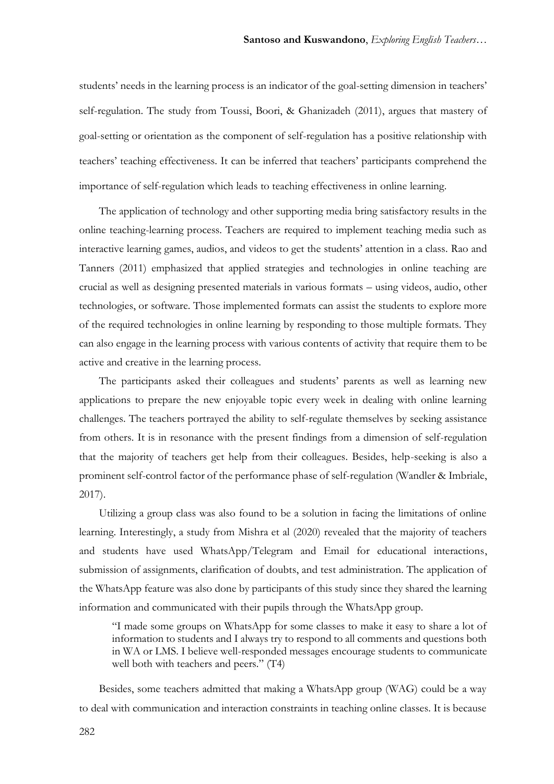students' needs in the learning process is an indicator of the goal-setting dimension in teachers' self-regulation. The study from Toussi, Boori, & Ghanizadeh (2011), argues that mastery of goal-setting or orientation as the component of self-regulation has a positive relationship with teachers' teaching effectiveness. It can be inferred that teachers' participants comprehend the importance of self-regulation which leads to teaching effectiveness in online learning.

The application of technology and other supporting media bring satisfactory results in the online teaching-learning process. Teachers are required to implement teaching media such as interactive learning games, audios, and videos to get the students' attention in a class. Rao and Tanners (2011) emphasized that applied strategies and technologies in online teaching are crucial as well as designing presented materials in various formats – using videos, audio, other technologies, or software. Those implemented formats can assist the students to explore more of the required technologies in online learning by responding to those multiple formats. They can also engage in the learning process with various contents of activity that require them to be active and creative in the learning process.

The participants asked their colleagues and students' parents as well as learning new applications to prepare the new enjoyable topic every week in dealing with online learning challenges. The teachers portrayed the ability to self-regulate themselves by seeking assistance from others. It is in resonance with the present findings from a dimension of self-regulation that the majority of teachers get help from their colleagues. Besides, help-seeking is also a prominent self-control factor of the performance phase of self-regulation (Wandler & Imbriale, 2017).

Utilizing a group class was also found to be a solution in facing the limitations of online learning. Interestingly, a study from Mishra et al (2020) revealed that the majority of teachers and students have used WhatsApp/Telegram and Email for educational interactions, submission of assignments, clarification of doubts, and test administration. The application of the WhatsApp feature was also done by participants of this study since they shared the learning information and communicated with their pupils through the WhatsApp group.

"I made some groups on WhatsApp for some classes to make it easy to share a lot of information to students and I always try to respond to all comments and questions both in WA or LMS. I believe well-responded messages encourage students to communicate well both with teachers and peers." (T4)

Besides, some teachers admitted that making a WhatsApp group (WAG) could be a way to deal with communication and interaction constraints in teaching online classes. It is because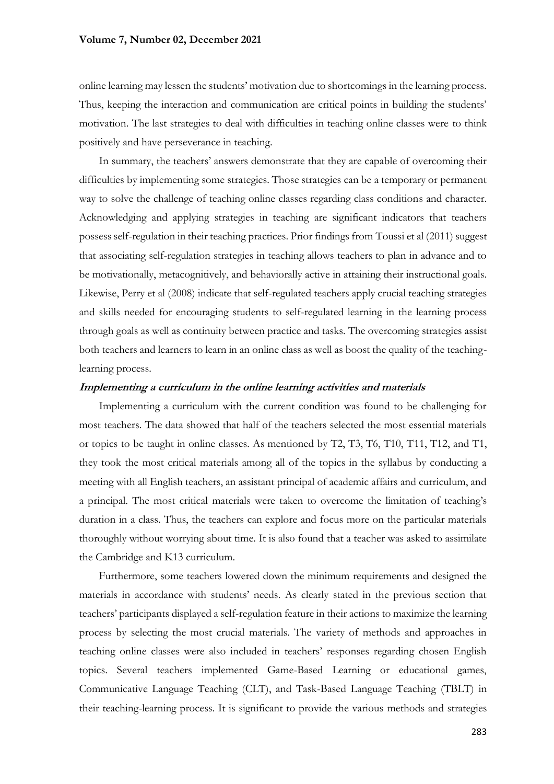#### **Volume 7, Number 02, December 2021**

online learning may lessen the students' motivation due to shortcomings in the learning process. Thus, keeping the interaction and communication are critical points in building the students' motivation. The last strategies to deal with difficulties in teaching online classes were to think positively and have perseverance in teaching.

In summary, the teachers' answers demonstrate that they are capable of overcoming their difficulties by implementing some strategies. Those strategies can be a temporary or permanent way to solve the challenge of teaching online classes regarding class conditions and character. Acknowledging and applying strategies in teaching are significant indicators that teachers possess self-regulation in their teaching practices. Prior findings from Toussi et al (2011) suggest that associating self-regulation strategies in teaching allows teachers to plan in advance and to be motivationally, metacognitively, and behaviorally active in attaining their instructional goals. Likewise, Perry et al (2008) indicate that self-regulated teachers apply crucial teaching strategies and skills needed for encouraging students to self-regulated learning in the learning process through goals as well as continuity between practice and tasks. The overcoming strategies assist both teachers and learners to learn in an online class as well as boost the quality of the teachinglearning process.

## **Implementing a curriculum in the online learning activities and materials**

Implementing a curriculum with the current condition was found to be challenging for most teachers. The data showed that half of the teachers selected the most essential materials or topics to be taught in online classes. As mentioned by T2, T3, T6, T10, T11, T12, and T1, they took the most critical materials among all of the topics in the syllabus by conducting a meeting with all English teachers, an assistant principal of academic affairs and curriculum, and a principal. The most critical materials were taken to overcome the limitation of teaching's duration in a class. Thus, the teachers can explore and focus more on the particular materials thoroughly without worrying about time. It is also found that a teacher was asked to assimilate the Cambridge and K13 curriculum.

Furthermore, some teachers lowered down the minimum requirements and designed the materials in accordance with students' needs. As clearly stated in the previous section that teachers' participants displayed a self-regulation feature in their actions to maximize the learning process by selecting the most crucial materials. The variety of methods and approaches in teaching online classes were also included in teachers' responses regarding chosen English topics. Several teachers implemented Game-Based Learning or educational games, Communicative Language Teaching (CLT), and Task-Based Language Teaching (TBLT) in their teaching-learning process. It is significant to provide the various methods and strategies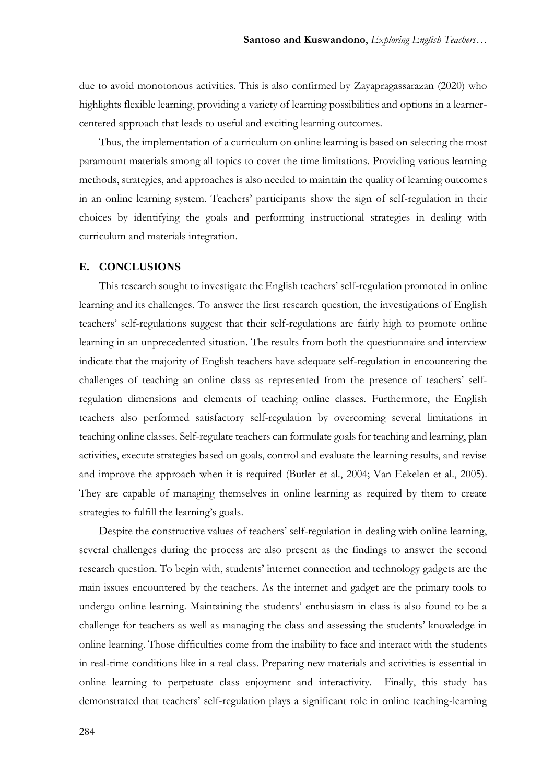due to avoid monotonous activities. This is also confirmed by Zayapragassarazan (2020) who highlights flexible learning, providing a variety of learning possibilities and options in a learnercentered approach that leads to useful and exciting learning outcomes.

Thus, the implementation of a curriculum on online learning is based on selecting the most paramount materials among all topics to cover the time limitations. Providing various learning methods, strategies, and approaches is also needed to maintain the quality of learning outcomes in an online learning system. Teachers' participants show the sign of self-regulation in their choices by identifying the goals and performing instructional strategies in dealing with curriculum and materials integration.

## **E. CONCLUSIONS**

This research sought to investigate the English teachers' self-regulation promoted in online learning and its challenges. To answer the first research question, the investigations of English teachers' self-regulations suggest that their self-regulations are fairly high to promote online learning in an unprecedented situation. The results from both the questionnaire and interview indicate that the majority of English teachers have adequate self-regulation in encountering the challenges of teaching an online class as represented from the presence of teachers' selfregulation dimensions and elements of teaching online classes. Furthermore, the English teachers also performed satisfactory self-regulation by overcoming several limitations in teaching online classes. Self-regulate teachers can formulate goals for teaching and learning, plan activities, execute strategies based on goals, control and evaluate the learning results, and revise and improve the approach when it is required (Butler et al., 2004; Van Eekelen et al., 2005). They are capable of managing themselves in online learning as required by them to create strategies to fulfill the learning's goals.

Despite the constructive values of teachers' self-regulation in dealing with online learning, several challenges during the process are also present as the findings to answer the second research question. To begin with, students' internet connection and technology gadgets are the main issues encountered by the teachers. As the internet and gadget are the primary tools to undergo online learning. Maintaining the students' enthusiasm in class is also found to be a challenge for teachers as well as managing the class and assessing the students' knowledge in online learning. Those difficulties come from the inability to face and interact with the students in real-time conditions like in a real class. Preparing new materials and activities is essential in online learning to perpetuate class enjoyment and interactivity. Finally, this study has demonstrated that teachers' self-regulation plays a significant role in online teaching-learning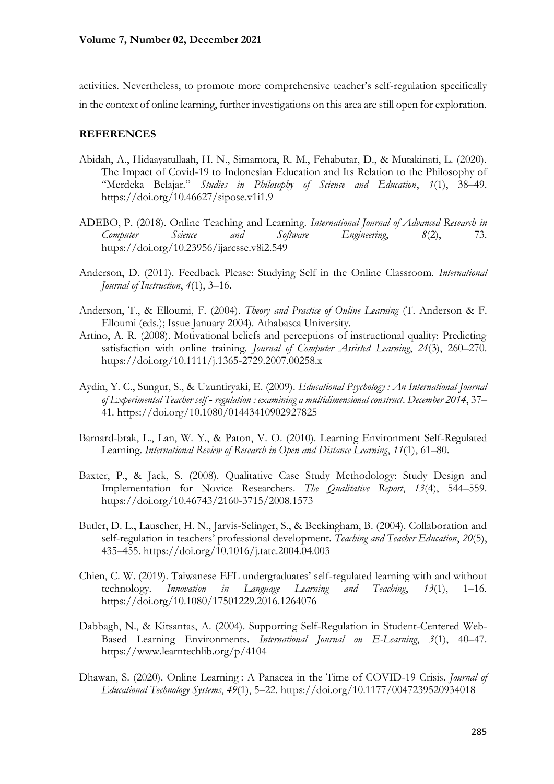activities. Nevertheless, to promote more comprehensive teacher's self-regulation specifically in the context of online learning, further investigations on this area are still open for exploration.

## **REFERENCES**

- Abidah, A., Hidaayatullaah, H. N., Simamora, R. M., Fehabutar, D., & Mutakinati, L. (2020). The Impact of Covid-19 to Indonesian Education and Its Relation to the Philosophy of "Merdeka Belajar." *Studies in Philosophy of Science and Education*, *1*(1), 38–49. https://doi.org/10.46627/sipose.v1i1.9
- ADEBO, P. (2018). Online Teaching and Learning. *International Journal of Advanced Research in Computer Science and Software Engineering*, *8*(2), 73. https://doi.org/10.23956/ijarcsse.v8i2.549
- Anderson, D. (2011). Feedback Please: Studying Self in the Online Classroom. *International Journal of Instruction*, *4*(1), 3–16.
- Anderson, T., & Elloumi, F. (2004). *Theory and Practice of Online Learning* (T. Anderson & F. Elloumi (eds.); Issue January 2004). Athabasca University.
- Artino, A. R. (2008). Motivational beliefs and perceptions of instructional quality: Predicting satisfaction with online training. *Journal of Computer Assisted Learning*, *24*(3), 260–270. https://doi.org/10.1111/j.1365-2729.2007.00258.x
- Aydin, Y. C., Sungur, S., & Uzuntiryaki, E. (2009). *Educational Psychology : An International Journal of Experimental Teacher self ‐ regulation : examining a multidimensional construct*. *December 2014*, 37– 41. https://doi.org/10.1080/01443410902927825
- Barnard-brak, L., Lan, W. Y., & Paton, V. O. (2010). Learning Environment Self-Regulated Learning. *International Review of Research in Open and Distance Learning*, *11*(1), 61–80.
- Baxter, P., & Jack, S. (2008). Qualitative Case Study Methodology: Study Design and Implementation for Novice Researchers. *The Qualitative Report*, *13*(4), 544–559. https://doi.org/10.46743/2160-3715/2008.1573
- Butler, D. L., Lauscher, H. N., Jarvis-Selinger, S., & Beckingham, B. (2004). Collaboration and self-regulation in teachers' professional development. *Teaching and Teacher Education*, *20*(5), 435–455. https://doi.org/10.1016/j.tate.2004.04.003
- Chien, C. W. (2019). Taiwanese EFL undergraduates' self-regulated learning with and without technology. *Innovation in Language Learning and Teaching*, *13*(1), 1–16. https://doi.org/10.1080/17501229.2016.1264076
- Dabbagh, N., & Kitsantas, A. (2004). Supporting Self-Regulation in Student-Centered Web-Based Learning Environments. *International Journal on E-Learning*, *3*(1), 40–47. https://www.learntechlib.org/p/4104
- Dhawan, S. (2020). Online Learning : A Panacea in the Time of COVID-19 Crisis. *Journal of Educational Technology Systems*, *49*(1), 5–22. https://doi.org/10.1177/0047239520934018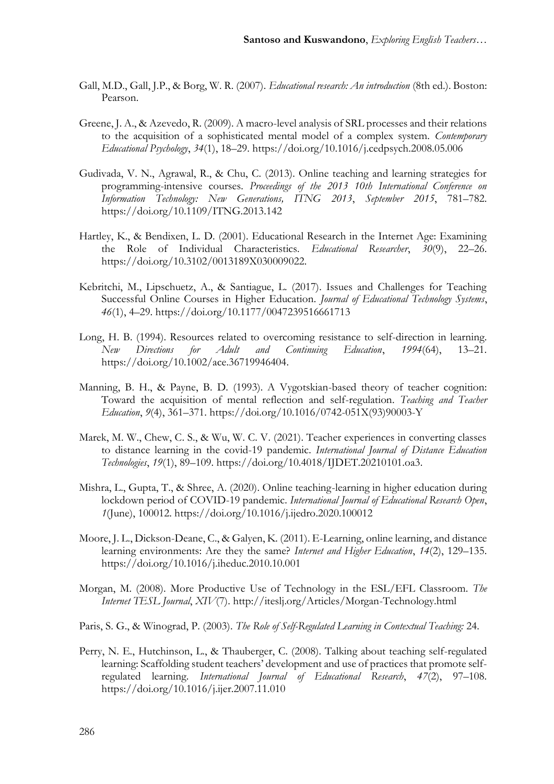- Gall, M.D., Gall, J.P., & Borg, W. R. (2007). *Educational research: An introduction* (8th ed.). Boston: Pearson.
- Greene, J. A., & Azevedo, R. (2009). A macro-level analysis of SRL processes and their relations to the acquisition of a sophisticated mental model of a complex system. *Contemporary Educational Psychology*, *34*(1), 18–29. https://doi.org/10.1016/j.cedpsych.2008.05.006
- Gudivada, V. N., Agrawal, R., & Chu, C. (2013). Online teaching and learning strategies for programming-intensive courses. *Proceedings of the 2013 10th International Conference on Information Technology: New Generations, ITNG 2013*, *September 2015*, 781–782. https://doi.org/10.1109/ITNG.2013.142
- Hartley, K., & Bendixen, L. D. (2001). Educational Research in the Internet Age: Examining the Role of Individual Characteristics. *Educational Researcher*, *30*(9), 22–26. https://doi.org/10.3102/0013189X030009022.
- Kebritchi, M., Lipschuetz, A., & Santiague, L. (2017). Issues and Challenges for Teaching Successful Online Courses in Higher Education. *Journal of Educational Technology Systems*, *46*(1), 4–29. https://doi.org/10.1177/0047239516661713
- Long, H. B. (1994). Resources related to overcoming resistance to self-direction in learning. *New Directions for Adult and Continuing Education*, *1994*(64), 13–21. https://doi.org/10.1002/ace.36719946404.
- Manning, B. H., & Payne, B. D. (1993). A Vygotskian-based theory of teacher cognition: Toward the acquisition of mental reflection and self-regulation. *Teaching and Teacher Education*, *9*(4), 361–371. https://doi.org/10.1016/0742-051X(93)90003-Y
- Marek, M. W., Chew, C. S., & Wu, W. C. V. (2021). Teacher experiences in converting classes to distance learning in the covid-19 pandemic. *International Journal of Distance Education Technologies*, *19*(1), 89–109. https://doi.org/10.4018/IJDET.20210101.oa3.
- Mishra, L., Gupta, T., & Shree, A. (2020). Online teaching-learning in higher education during lockdown period of COVID-19 pandemic. *International Journal of Educational Research Open*, *1*(June), 100012. https://doi.org/10.1016/j.ijedro.2020.100012
- Moore, J. L., Dickson-Deane, C., & Galyen, K. (2011). E-Learning, online learning, and distance learning environments: Are they the same? *Internet and Higher Education*, *14*(2), 129–135. https://doi.org/10.1016/j.iheduc.2010.10.001
- Morgan, M. (2008). More Productive Use of Technology in the ESL/EFL Classroom. *The Internet TESL Journal*, *XIV*(7). http://iteslj.org/Articles/Morgan-Technology.html
- Paris, S. G., & Winograd, P. (2003). *The Role of Self-Regulated Learning in Contextual Teaching:* 24.
- Perry, N. E., Hutchinson, L., & Thauberger, C. (2008). Talking about teaching self-regulated learning: Scaffolding student teachers' development and use of practices that promote selfregulated learning. *International Journal of Educational Research*, *47*(2), 97–108. https://doi.org/10.1016/j.ijer.2007.11.010